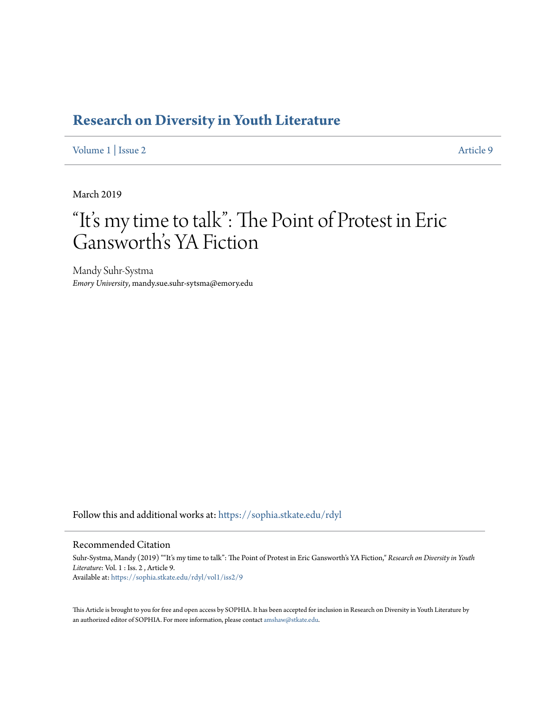## **[Research on Diversity in Youth Literature](https://sophia.stkate.edu/rdyl?utm_source=sophia.stkate.edu%2Frdyl%2Fvol1%2Fiss2%2F9&utm_medium=PDF&utm_campaign=PDFCoverPages)**

[Volume 1](https://sophia.stkate.edu/rdyl/vol1?utm_source=sophia.stkate.edu%2Frdyl%2Fvol1%2Fiss2%2F9&utm_medium=PDF&utm_campaign=PDFCoverPages) | [Issue 2](https://sophia.stkate.edu/rdyl/vol1/iss2?utm_source=sophia.stkate.edu%2Frdyl%2Fvol1%2Fiss2%2F9&utm_medium=PDF&utm_campaign=PDFCoverPages) [Article 9](https://sophia.stkate.edu/rdyl/vol1/iss2/9?utm_source=sophia.stkate.edu%2Frdyl%2Fvol1%2Fiss2%2F9&utm_medium=PDF&utm_campaign=PDFCoverPages)

March 2019

## "It' s my time to talk": The Point of Protest in Eric Gansworth's YA Fiction

Mandy Suhr-Systma *Emory University*, mandy.sue.suhr-sytsma@emory.edu

Follow this and additional works at: [https://sophia.stkate.edu/rdyl](https://sophia.stkate.edu/rdyl?utm_source=sophia.stkate.edu%2Frdyl%2Fvol1%2Fiss2%2F9&utm_medium=PDF&utm_campaign=PDFCoverPages)

## Recommended Citation

Suhr-Systma, Mandy (2019) ""It's my time to talk": The Point of Protest in Eric Gansworth's YA Fiction," *Research on Diversity in Youth Literature*: Vol. 1 : Iss. 2 , Article 9. Available at: [https://sophia.stkate.edu/rdyl/vol1/iss2/9](https://sophia.stkate.edu/rdyl/vol1/iss2/9?utm_source=sophia.stkate.edu%2Frdyl%2Fvol1%2Fiss2%2F9&utm_medium=PDF&utm_campaign=PDFCoverPages)

This Article is brought to you for free and open access by SOPHIA. It has been accepted for inclusion in Research on Diversity in Youth Literature by an authorized editor of SOPHIA. For more information, please contact [amshaw@stkate.edu.](mailto:amshaw@stkate.edu)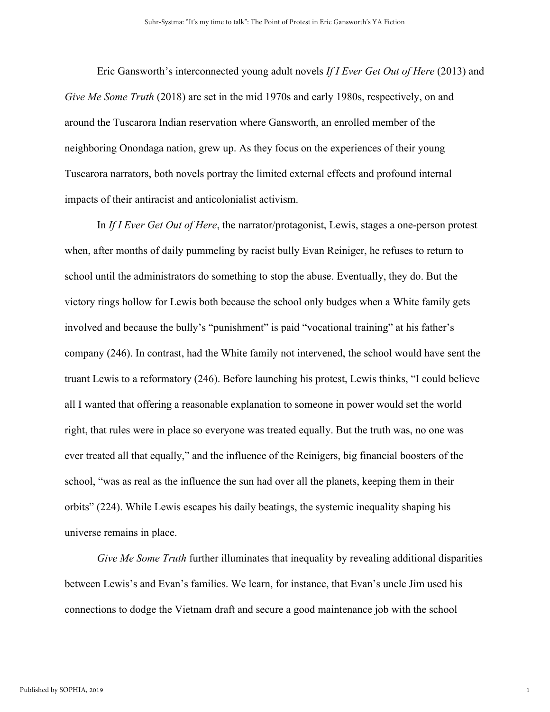Eric Gansworth's interconnected young adult novels *If I Ever Get Out of Here* (2013) and *Give Me Some Truth* (2018) are set in the mid 1970s and early 1980s, respectively, on and around the Tuscarora Indian reservation where Gansworth, an enrolled member of the neighboring Onondaga nation, grew up. As they focus on the experiences of their young Tuscarora narrators, both novels portray the limited external effects and profound internal impacts of their antiracist and anticolonialist activism.

In *If I Ever Get Out of Here*, the narrator/protagonist, Lewis, stages a one-person protest when, after months of daily pummeling by racist bully Evan Reiniger, he refuses to return to school until the administrators do something to stop the abuse. Eventually, they do. But the victory rings hollow for Lewis both because the school only budges when a White family gets involved and because the bully's "punishment" is paid "vocational training" at his father's company (246). In contrast, had the White family not intervened, the school would have sent the truant Lewis to a reformatory (246). Before launching his protest, Lewis thinks, "I could believe all I wanted that offering a reasonable explanation to someone in power would set the world right, that rules were in place so everyone was treated equally. But the truth was, no one was ever treated all that equally," and the influence of the Reinigers, big financial boosters of the school, "was as real as the influence the sun had over all the planets, keeping them in their orbits" (224). While Lewis escapes his daily beatings, the systemic inequality shaping his universe remains in place.

*Give Me Some Truth* further illuminates that inequality by revealing additional disparities between Lewis's and Evan's families. We learn, for instance, that Evan's uncle Jim used his connections to dodge the Vietnam draft and secure a good maintenance job with the school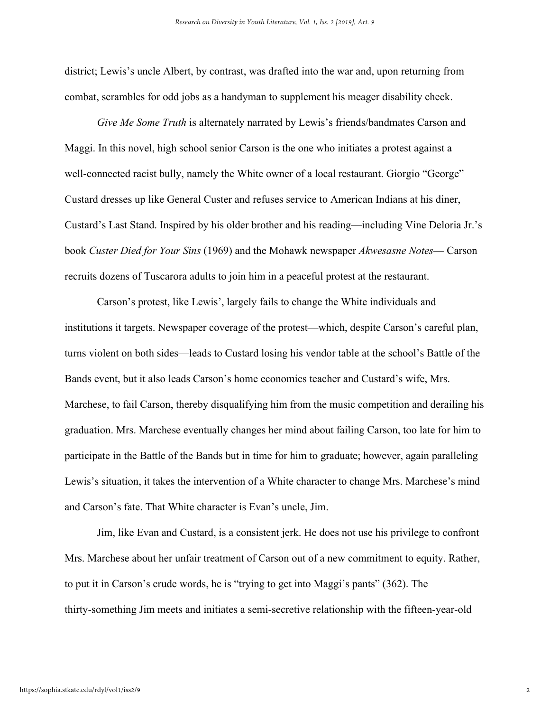district; Lewis's uncle Albert, by contrast, was drafted into the war and, upon returning from combat, scrambles for odd jobs as a handyman to supplement his meager disability check.

*Give Me Some Truth* is alternately narrated by Lewis's friends/bandmates Carson and Maggi. In this novel, high school senior Carson is the one who initiates a protest against a well-connected racist bully, namely the White owner of a local restaurant. Giorgio "George" Custard dresses up like General Custer and refuses service to American Indians at his diner, Custard's Last Stand. Inspired by his older brother and his reading—including Vine Deloria Jr.'s book *Custer Died for Your Sins* (1969) and the Mohawk newspaper *Akwesasne Notes*— Carson recruits dozens of Tuscarora adults to join him in a peaceful protest at the restaurant.

Carson's protest, like Lewis', largely fails to change the White individuals and institutions it targets. Newspaper coverage of the protest—which, despite Carson's careful plan, turns violent on both sides—leads to Custard losing his vendor table at the school's Battle of the Bands event, but it also leads Carson's home economics teacher and Custard's wife, Mrs. Marchese, to fail Carson, thereby disqualifying him from the music competition and derailing his graduation. Mrs. Marchese eventually changes her mind about failing Carson, too late for him to participate in the Battle of the Bands but in time for him to graduate; however, again paralleling Lewis's situation, it takes the intervention of a White character to change Mrs. Marchese's mind and Carson's fate. That White character is Evan's uncle, Jim.

Jim, like Evan and Custard, is a consistent jerk. He does not use his privilege to confront Mrs. Marchese about her unfair treatment of Carson out of a new commitment to equity. Rather, to put it in Carson's crude words, he is "trying to get into Maggi's pants" (362). The thirty-something Jim meets and initiates a semi-secretive relationship with the fifteen-year-old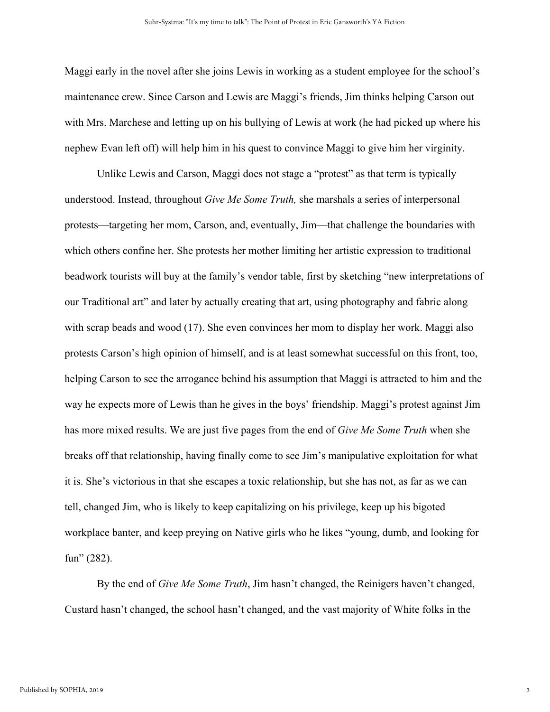Maggi early in the novel after she joins Lewis in working as a student employee for the school's maintenance crew. Since Carson and Lewis are Maggi's friends, Jim thinks helping Carson out with Mrs. Marchese and letting up on his bullying of Lewis at work (he had picked up where his nephew Evan left off) will help him in his quest to convince Maggi to give him her virginity.

Unlike Lewis and Carson, Maggi does not stage a "protest" as that term is typically understood. Instead, throughout *Give Me Some Truth,* she marshals a series of interpersonal protests—targeting her mom, Carson, and, eventually, Jim—that challenge the boundaries with which others confine her. She protests her mother limiting her artistic expression to traditional beadwork tourists will buy at the family's vendor table, first by sketching "new interpretations of our Traditional art" and later by actually creating that art, using photography and fabric along with scrap beads and wood (17). She even convinces her mom to display her work. Maggi also protests Carson's high opinion of himself, and is at least somewhat successful on this front, too, helping Carson to see the arrogance behind his assumption that Maggi is attracted to him and the way he expects more of Lewis than he gives in the boys' friendship. Maggi's protest against Jim has more mixed results. We are just five pages from the end of *Give Me Some Truth* when she breaks off that relationship, having finally come to see Jim's manipulative exploitation for what it is. She's victorious in that she escapes a toxic relationship, but she has not, as far as we can tell, changed Jim, who is likely to keep capitalizing on his privilege, keep up his bigoted workplace banter, and keep preying on Native girls who he likes "young, dumb, and looking for fun" (282).

By the end of *Give Me Some Truth*, Jim hasn't changed, the Reinigers haven't changed, Custard hasn't changed, the school hasn't changed, and the vast majority of White folks in the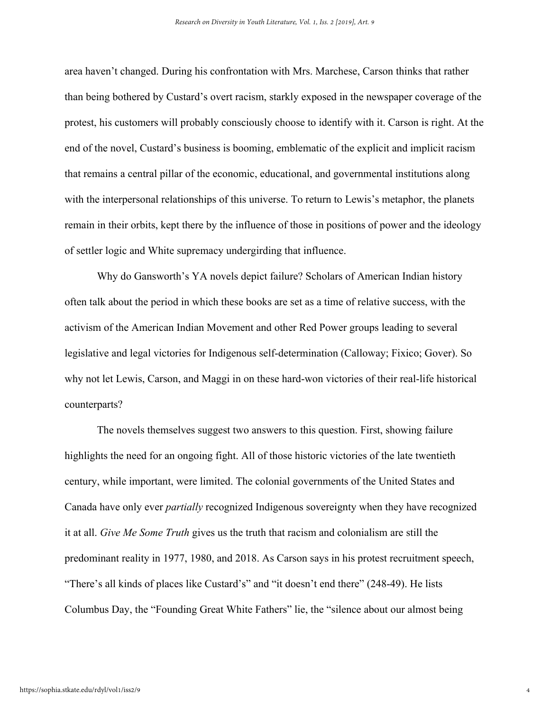area haven't changed. During his confrontation with Mrs. Marchese, Carson thinks that rather than being bothered by Custard's overt racism, starkly exposed in the newspaper coverage of the protest, his customers will probably consciously choose to identify with it. Carson is right. At the end of the novel, Custard's business is booming, emblematic of the explicit and implicit racism that remains a central pillar of the economic, educational, and governmental institutions along with the interpersonal relationships of this universe. To return to Lewis's metaphor, the planets remain in their orbits, kept there by the influence of those in positions of power and the ideology of settler logic and White supremacy undergirding that influence.

Why do Gansworth's YA novels depict failure? Scholars of American Indian history often talk about the period in which these books are set as a time of relative success, with the activism of the American Indian Movement and other Red Power groups leading to several legislative and legal victories for Indigenous self-determination (Calloway; Fixico; Gover). So why not let Lewis, Carson, and Maggi in on these hard-won victories of their real-life historical counterparts?

The novels themselves suggest two answers to this question. First, showing failure highlights the need for an ongoing fight. All of those historic victories of the late twentieth century, while important, were limited. The colonial governments of the United States and Canada have only ever *partially* recognized Indigenous sovereignty when they have recognized it at all. *Give Me Some Truth* gives us the truth that racism and colonialism are still the predominant reality in 1977, 1980, and 2018. As Carson says in his protest recruitment speech, "There's all kinds of places like Custard's" and "it doesn't end there" (248-49). He lists Columbus Day, the "Founding Great White Fathers" lie, the "silence about our almost being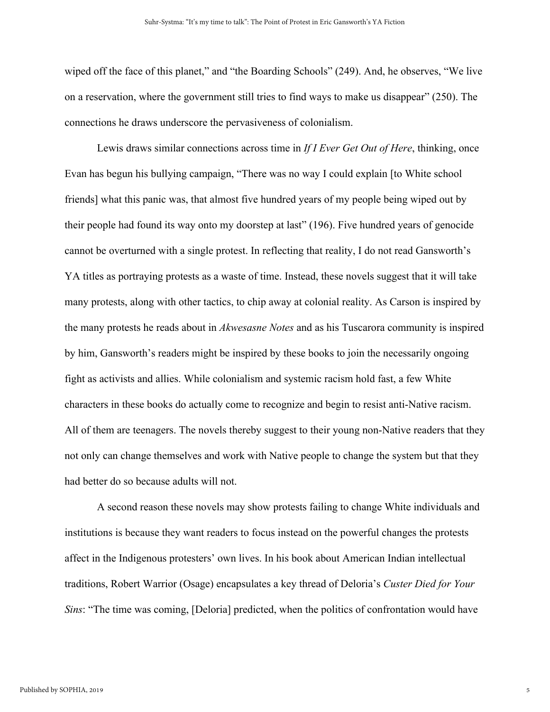wiped off the face of this planet," and "the Boarding Schools" (249). And, he observes, "We live on a reservation, where the government still tries to find ways to make us disappear" (250). The connections he draws underscore the pervasiveness of colonialism.

Lewis draws similar connections across time in *If I Ever Get Out of Here*, thinking, once Evan has begun his bullying campaign, "There was no way I could explain [to White school friends] what this panic was, that almost five hundred years of my people being wiped out by their people had found its way onto my doorstep at last" (196). Five hundred years of genocide cannot be overturned with a single protest. In reflecting that reality, I do not read Gansworth's YA titles as portraying protests as a waste of time. Instead, these novels suggest that it will take many protests, along with other tactics, to chip away at colonial reality. As Carson is inspired by the many protests he reads about in *Akwesasne Notes* and as his Tuscarora community is inspired by him, Gansworth's readers might be inspired by these books to join the necessarily ongoing fight as activists and allies. While colonialism and systemic racism hold fast, a few White characters in these books do actually come to recognize and begin to resist anti-Native racism. All of them are teenagers. The novels thereby suggest to their young non-Native readers that they not only can change themselves and work with Native people to change the system but that they had better do so because adults will not.

A second reason these novels may show protests failing to change White individuals and institutions is because they want readers to focus instead on the powerful changes the protests affect in the Indigenous protesters' own lives. In his book about American Indian intellectual traditions, Robert Warrior (Osage) encapsulates a key thread of Deloria's *Custer Died for Your Sins*: "The time was coming, [Deloria] predicted, when the politics of confrontation would have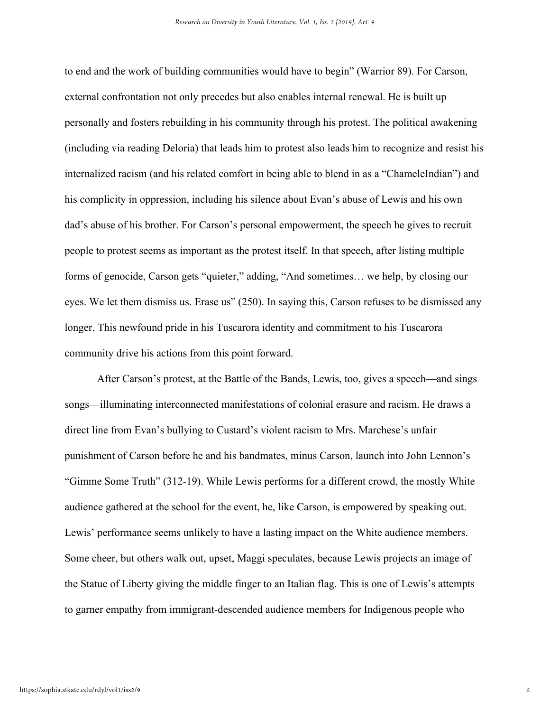to end and the work of building communities would have to begin" (Warrior 89). For Carson, external confrontation not only precedes but also enables internal renewal. He is built up personally and fosters rebuilding in his community through his protest. The political awakening (including via reading Deloria) that leads him to protest also leads him to recognize and resist his internalized racism (and his related comfort in being able to blend in as a "ChameleIndian") and his complicity in oppression, including his silence about Evan's abuse of Lewis and his own dad's abuse of his brother. For Carson's personal empowerment, the speech he gives to recruit people to protest seems as important as the protest itself. In that speech, after listing multiple forms of genocide, Carson gets "quieter," adding, "And sometimes… we help, by closing our eyes. We let them dismiss us. Erase us" (250). In saying this, Carson refuses to be dismissed any longer. This newfound pride in his Tuscarora identity and commitment to his Tuscarora community drive his actions from this point forward.

After Carson's protest, at the Battle of the Bands, Lewis, too, gives a speech—and sings songs—illuminating interconnected manifestations of colonial erasure and racism. He draws a direct line from Evan's bullying to Custard's violent racism to Mrs. Marchese's unfair punishment of Carson before he and his bandmates, minus Carson, launch into John Lennon's "Gimme Some Truth" (312-19). While Lewis performs for a different crowd, the mostly White audience gathered at the school for the event, he, like Carson, is empowered by speaking out. Lewis' performance seems unlikely to have a lasting impact on the White audience members. Some cheer, but others walk out, upset, Maggi speculates, because Lewis projects an image of the Statue of Liberty giving the middle finger to an Italian flag. This is one of Lewis's attempts to garner empathy from immigrant-descended audience members for Indigenous people who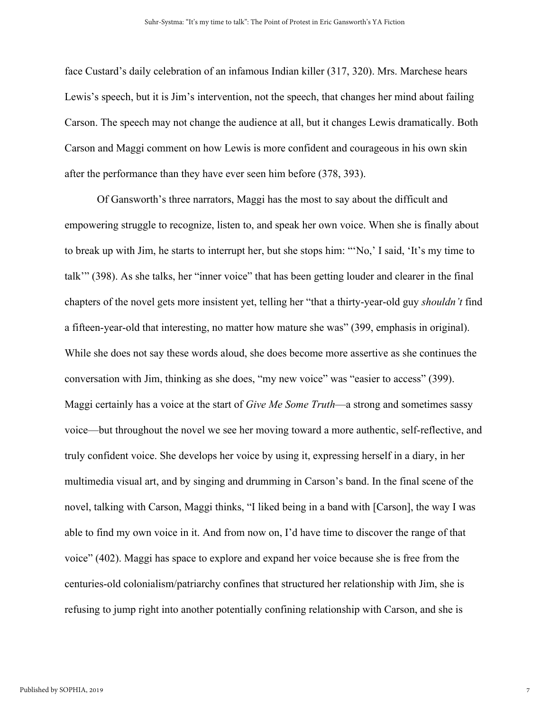face Custard's daily celebration of an infamous Indian killer (317, 320). Mrs. Marchese hears Lewis's speech, but it is Jim's intervention, not the speech, that changes her mind about failing Carson. The speech may not change the audience at all, but it changes Lewis dramatically. Both Carson and Maggi comment on how Lewis is more confident and courageous in his own skin after the performance than they have ever seen him before (378, 393).

Of Gansworth's three narrators, Maggi has the most to say about the difficult and empowering struggle to recognize, listen to, and speak her own voice. When she is finally about to break up with Jim, he starts to interrupt her, but she stops him: "'No,' I said, 'It's my time to talk'" (398). As she talks, her "inner voice" that has been getting louder and clearer in the final chapters of the novel gets more insistent yet, telling her "that a thirty-year-old guy *shouldn't* find a fifteen-year-old that interesting, no matter how mature she was" (399, emphasis in original). While she does not say these words aloud, she does become more assertive as she continues the conversation with Jim, thinking as she does, "my new voice" was "easier to access" (399). Maggi certainly has a voice at the start of *Give Me Some Truth*—a strong and sometimes sassy voice—but throughout the novel we see her moving toward a more authentic, self-reflective, and truly confident voice. She develops her voice by using it, expressing herself in a diary, in her multimedia visual art, and by singing and drumming in Carson's band. In the final scene of the novel, talking with Carson, Maggi thinks, "I liked being in a band with [Carson], the way I was able to find my own voice in it. And from now on, I'd have time to discover the range of that voice" (402). Maggi has space to explore and expand her voice because she is free from the centuries-old colonialism/patriarchy confines that structured her relationship with Jim, she is refusing to jump right into another potentially confining relationship with Carson, and she is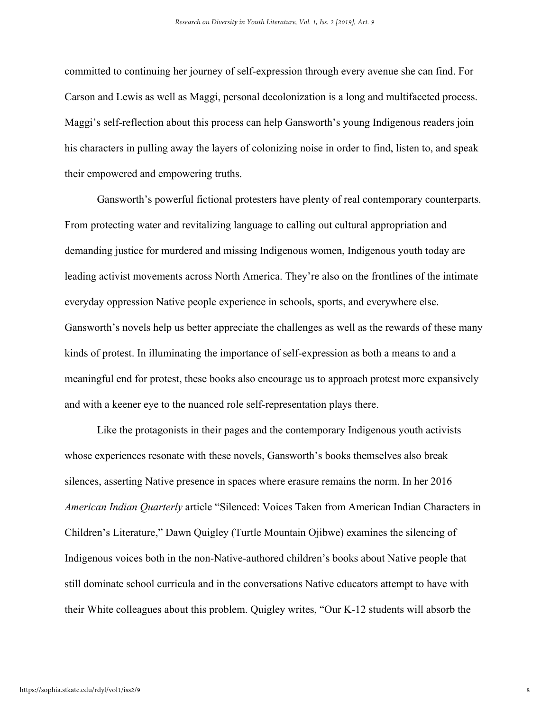committed to continuing her journey of self-expression through every avenue she can find. For Carson and Lewis as well as Maggi, personal decolonization is a long and multifaceted process. Maggi's self-reflection about this process can help Gansworth's young Indigenous readers join his characters in pulling away the layers of colonizing noise in order to find, listen to, and speak their empowered and empowering truths.

Gansworth's powerful fictional protesters have plenty of real contemporary counterparts. From protecting water and revitalizing language to calling out cultural appropriation and demanding justice for murdered and missing Indigenous women, Indigenous youth today are leading activist movements across North America. They're also on the frontlines of the intimate everyday oppression Native people experience in schools, sports, and everywhere else. Gansworth's novels help us better appreciate the challenges as well as the rewards of these many kinds of protest. In illuminating the importance of self-expression as both a means to and a meaningful end for protest, these books also encourage us to approach protest more expansively and with a keener eye to the nuanced role self-representation plays there.

Like the protagonists in their pages and the contemporary Indigenous youth activists whose experiences resonate with these novels, Gansworth's books themselves also break silences, asserting Native presence in spaces where erasure remains the norm. In her 2016 *American Indian Quarterly* article "Silenced: Voices Taken from American Indian Characters in Children's Literature," Dawn Quigley (Turtle Mountain Ojibwe) examines the silencing of Indigenous voices both in the non-Native-authored children's books about Native people that still dominate school curricula and in the conversations Native educators attempt to have with their White colleagues about this problem. Quigley writes, "Our K-12 students will absorb the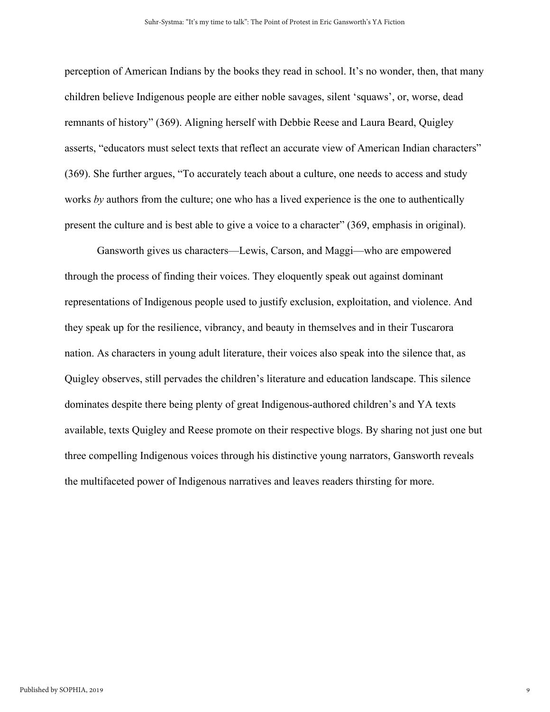perception of American Indians by the books they read in school. It's no wonder, then, that many children believe Indigenous people are either noble savages, silent 'squaws', or, worse, dead remnants of history" (369). Aligning herself with Debbie Reese and Laura Beard, Quigley asserts, "educators must select texts that reflect an accurate view of American Indian characters" (369). She further argues, "To accurately teach about a culture, one needs to access and study works *by* authors from the culture; one who has a lived experience is the one to authentically present the culture and is best able to give a voice to a character" (369, emphasis in original).

Gansworth gives us characters—Lewis, Carson, and Maggi—who are empowered through the process of finding their voices. They eloquently speak out against dominant representations of Indigenous people used to justify exclusion, exploitation, and violence. And they speak up for the resilience, vibrancy, and beauty in themselves and in their Tuscarora nation. As characters in young adult literature, their voices also speak into the silence that, as Quigley observes, still pervades the children's literature and education landscape. This silence dominates despite there being plenty of great Indigenous-authored children's and YA texts available, texts Quigley and Reese promote on their respective blogs. By sharing not just one but three compelling Indigenous voices through his distinctive young narrators, Gansworth reveals the multifaceted power of Indigenous narratives and leaves readers thirsting for more.